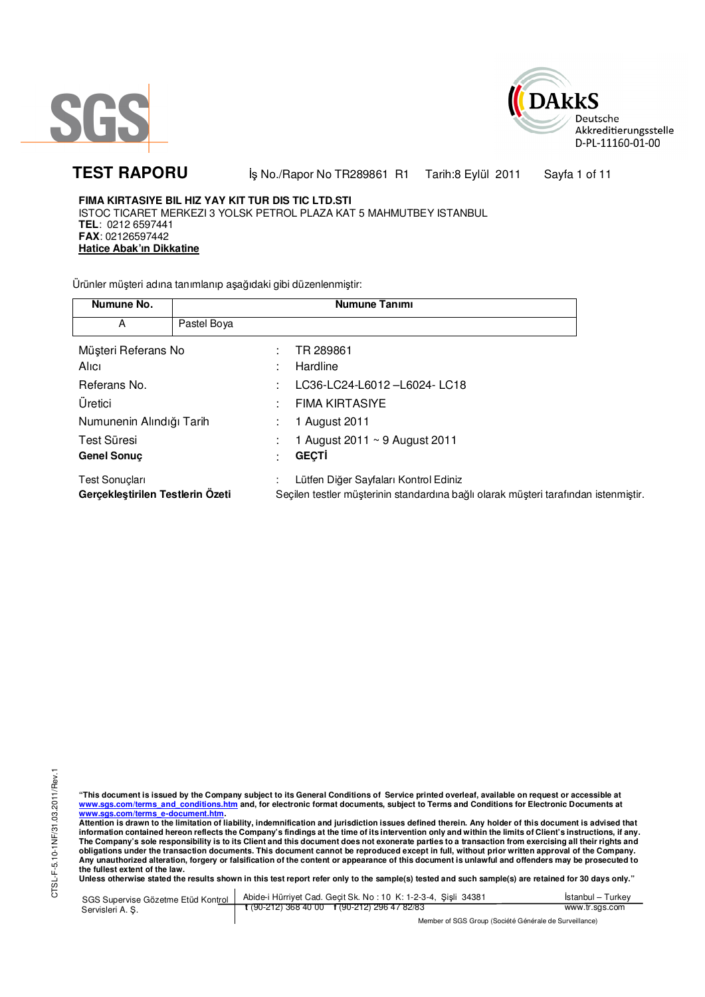



TEST RAPORU **By No./Rapor No TR289861 R1 Tarih:8 Eylül 2011** Sayfa 1 of 11

**FIMA KIRTASIYE BIL HIZ YAY KIT TUR DIS TIC LTD.STI**  ISTOC TICARET MERKEZI 3 YOLSK PETROL PLAZA KAT 5 MAHMUTBEY ISTANBUL **TEL**: 0212 6597441 **FAX**: 02126597442 **Hatice Abak'ın Dikkatine**

Ürünler müşteri adına tanımlanıp aşağıdaki gibi düzenlenmiştir:

| Numune No.                                         |             | Numune Tanımı                                                                                                                |
|----------------------------------------------------|-------------|------------------------------------------------------------------------------------------------------------------------------|
| A                                                  | Pastel Boya |                                                                                                                              |
| Müşteri Referans No<br>Alici                       |             | TR 289861<br>Hardline                                                                                                        |
| Referans No.                                       |             | LC36-LC24-L6012-L6024-LC18                                                                                                   |
| Uretici                                            |             | <b>FIMA KIRTASIYE</b>                                                                                                        |
| Numunenin Alındığı Tarih                           |             | 1 August 2011                                                                                                                |
| Test Süresi<br><b>Genel Sonuc</b>                  |             | 1 August 2011 ~ 9 August 2011<br><b>GECTI</b>                                                                                |
| Test Sonuçları<br>Gerçekleştirilen Testlerin Özeti |             | Lütfen Diğer Sayfaları Kontrol Ediniz<br>Seçilen testler müşterinin standardına bağlı olarak müşteri tarafından istenmiştir. |

"This document is issued by the Company subject to its General Conditions of Service printed overleaf, available on request or accessible at<br>www.sgs.com/terms\_and\_conditions.htm\_and, for electronic format documents, subjec <mark>www.sgs.com/terms\_e-document.htm.</mark><br>Attention is drawn to the limitation of liability, indemnification and jurisdiction issues defined therein. Any holder of this document is advised that

information contained hereon reflects the Company's findings at the time of its intervention only and within the limits of Client's instructions, if any.<br>The Company's sole responsibility is to its Client and this document **obligations under the transaction documents. This document cannot be reproduced except in full, without prior written approval of the Company. Any unauthorized alteration, forgery or falsification of the content or appearance of this document is unlawful and offenders may be prosecuted to the fullest extent of the law.** 

Unless otherwise stated the results shown in this test report refer only to the sample(s) tested and such sample(s) are retained for 30 days only."

SGS Supervise Gözetme Etüd Kontrol Servisleri A. Ş. Abide-i Hürriyet Cad. Geçit Sk. No : 10 K: 1-2-3-4, Şişli 34381 **t** (90-212) 368 40 00 **f** (90-212) 296 47 82/83 İstanbul – Turkey www.tr.sgs.com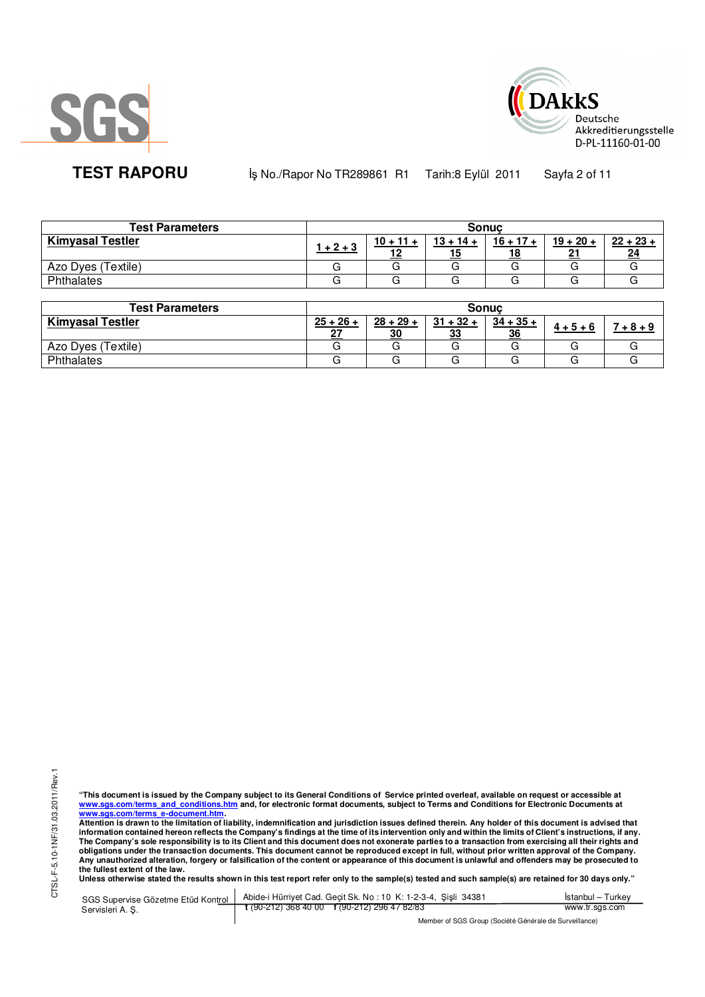



**TEST RAPORU** iş No./Rapor No TR289861 R1 Tarih:8 Eylül 2011 Sayfa 2 of 11

| <b>Test Parameters</b>  |             |                   | <b>Sonuc</b>              |                          |                   |                   |
|-------------------------|-------------|-------------------|---------------------------|--------------------------|-------------------|-------------------|
| <b>Kimyasal Testler</b> | $1 + 2 + 3$ | $10 + 11 +$<br>10 | $13 + 14 +$<br><u> 15</u> | $16 + 17 +$<br><u>18</u> | $19 + 20 +$<br>21 | $22 + 23 +$<br>24 |
| Azo Dyes (Textile)      |             |                   |                           |                          |                   |                   |
| Phthalates              |             |                   |                           |                          |                   |                   |

| <b>Test Parameters</b>  | <b>Sonuc</b> |             |             |             |             |        |  |
|-------------------------|--------------|-------------|-------------|-------------|-------------|--------|--|
| <b>Kimyasal Testler</b> | $25 + 26 +$  | $28 + 29 +$ | $31 + 32 +$ | $34 + 35 +$ | $4 + 5 + 6$ | $+8+9$ |  |
|                         | ^7           | 30          | 33          | 36          |             |        |  |
| Azo Dyes (Textile)      |              |             |             |             |             |        |  |
| Phthalates              |              |             |             |             |             |        |  |

"This document is issued by the Company subject to its General Conditions of Service printed overleaf, available on request or accessible at<br>www.sgs.com/terms\_and\_conditions.htm\_and, for electronic format documents, subjec <mark>www.sgs.com/terms\_e-document.htm.</mark><br>Attention is drawn to the limitation of liability, indemnification and jurisdiction issues defined therein. Any holder of this document is advised that

information contained hereon reflects the Company's findings at the time of its intervention only and within the limits of Client's instructions, if any.<br>The Company's sole responsibility is to its Client and this document obligations under the transaction documents. This document cannot be reproduced except in full, without prior written approval of the Company.<br>Any unauthorized alteration, forgery or falsification of the content or appeara

SGS Supervise Gözetme Etüd Kontrol Servisleri A. Ş. Abide-i Hürriyet Cad. Geçit Sk. No : 10 K: 1-2-3-4, Şişli 34381 **t** (90-212) 368 40 00 **f** (90-212) 296 47 82/83 İstanbul – Turkey www.tr.sgs.com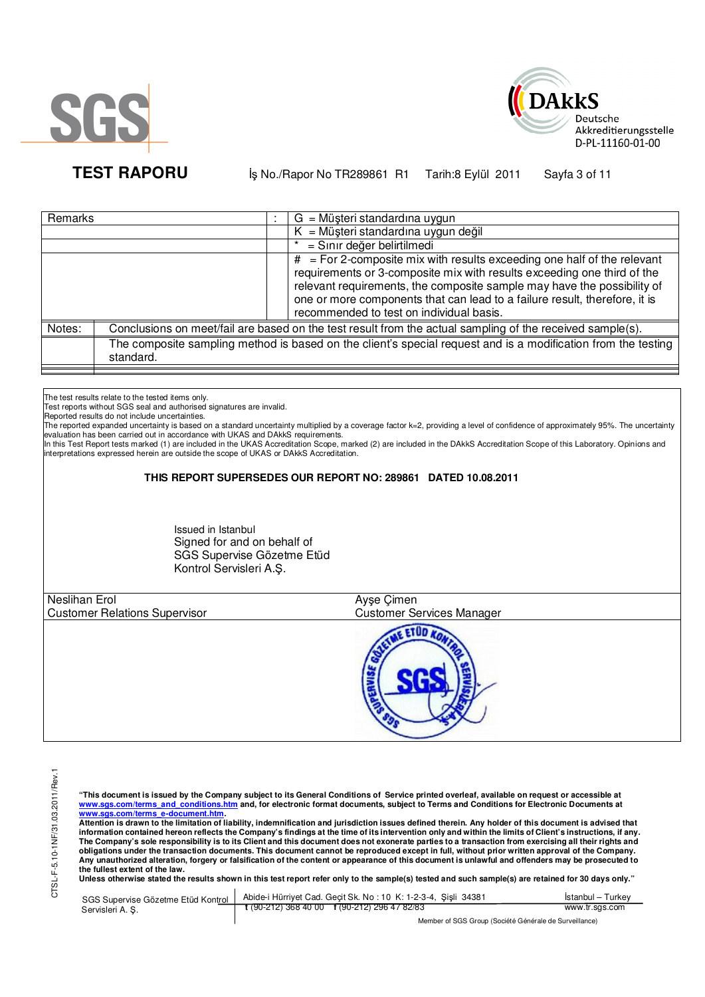



**TEST RAPORU b** iş No./Rapor No TR289861 R1 Tarih:8 Eylül 2011 Sayfa 3 of 11

| Remarks |           | $G = M\ddot{\mu}$ şteri standardına uygun                                                                                                                                                                                                                                                                                                                 |
|---------|-----------|-----------------------------------------------------------------------------------------------------------------------------------------------------------------------------------------------------------------------------------------------------------------------------------------------------------------------------------------------------------|
|         |           | $K = M\ddot{\mu}$ şteri standardına uygun değil                                                                                                                                                                                                                                                                                                           |
|         |           | = Sınır değer belirtilmedi                                                                                                                                                                                                                                                                                                                                |
|         |           | $#$ = For 2-composite mix with results exceeding one half of the relevant<br>requirements or 3-composite mix with results exceeding one third of the<br>relevant requirements, the composite sample may have the possibility of<br>one or more components that can lead to a failure result, therefore, it is<br>recommended to test on individual basis. |
| Notes:  |           | Conclusions on meet/fail are based on the test result from the actual sampling of the received sample(s).                                                                                                                                                                                                                                                 |
|         | standard. | The composite sampling method is based on the client's special request and is a modification from the testing                                                                                                                                                                                                                                             |

The test results relate to the tested items only.

Test reports without SGS seal and authorised signatures are invalid.

Reported results do not include uncertainties.

The reported expanded uncertainty is based on a standard uncertainty multiplied by a coverage factor k=2, providing a level of confidence of approximately 95%. The uncertainty evaluation has been carried out in accordance with UKAS and DAkkS requirements.<br>In this Test Report tests marked (1) are included in the UKAS Accreditation Scope, marked (2) are included in the DAkkS Accreditation Scope of

interpretations expressed herein are outside the scope of UKAS or DAkkS Accreditation.

## **THIS REPORT SUPERSEDES OUR REPORT NO: 289861 DATED 10.08.2011**

Issued in Istanbul Signed for and on behalf of SGS Supervise Gözetme Etüd Kontrol Servisleri A.Ş.

| Neslihan Erol                        | Ayşe Çimen                       |  |
|--------------------------------------|----------------------------------|--|
| <b>Customer Relations Supervisor</b> | <b>Customer Services Manager</b> |  |
|                                      |                                  |  |

"This document is issued by the Company subject to its General Conditions of Service printed overleaf, available on request or accessible at<br>www.sgs.com/terms\_and\_conditions.htm\_and, for electronic format documents, subjec

<mark>www.sgs.com/terms\_e-document.htm.</mark><br>Attention is drawn to the limitation of liability, indemnification and jurisdiction issues defined therein. Any holder of this document is advised that information contained hereon reflects the Company's findings at the time of its intervention only and within the limits of Client's instructions, if any.<br>The Company's sole responsibility is to its Client and this document **obligations under the transaction documents. This document cannot be reproduced except in full, without prior written approval of the Company. Any unauthorized alteration, forgery or falsification of the content or appearance of this document is unlawful and offenders may be prosecuted to the fullest extent of the law.** 

Unless otherwise stated the results shown in this test report refer only to the sample(s) tested and such sample(s) are retained for 30 days only."

|                  | SGS Supervise Gözetme Etüd Kontrol   Abide-i Hürriyet Cad. Geçit Sk. No: 10 K: 1-2-3-4, Şişli 34381 | Istanbul – Turkey |
|------------------|-----------------------------------------------------------------------------------------------------|-------------------|
| Servisleri A. S. | $\frac{1}{2}$ (90-212) 368 40 00 f (90-212) 296 47 82/83                                            | www.tr.sgs.com    |
|                  | Member of SGS Group (Société Générale de Surveillance)                                              |                   |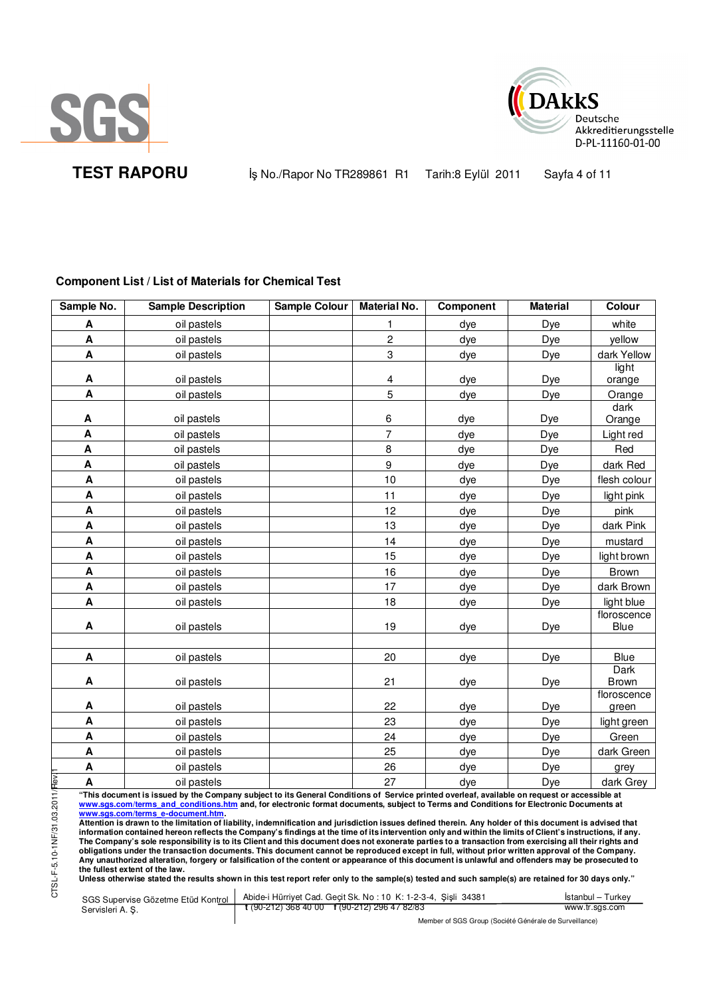



**TEST RAPORU** iş No./Rapor No TR289861 R1 Tarih:8 Eylül 2011 Sayfa 4 of 11

# **Component List / List of Materials for Chemical Test**

| Sample No.                | <b>Sample Description</b> | Sample Colour | <b>Material No.</b> | Component | <b>Material</b> | Colour                      |
|---------------------------|---------------------------|---------------|---------------------|-----------|-----------------|-----------------------------|
| A                         | oil pastels               |               | 1                   | dye       | Dye             | white                       |
| A                         | oil pastels               |               | $\overline{c}$      | dye       | Dye             | yellow                      |
| A                         | oil pastels               |               | 3                   | dye       | Dye             | dark Yellow                 |
|                           |                           |               |                     |           |                 | light                       |
| A                         | oil pastels               |               | 4                   | dye       | Dye             | orange                      |
| A                         | oil pastels               |               | 5                   | dye       | Dye             | Orange                      |
| A                         | oil pastels               |               | 6                   | dye       | Dye             | dark<br>Orange              |
| A                         | oil pastels               |               | $\overline{7}$      | dye       | Dye             | Light red                   |
| A                         | oil pastels               |               | 8                   | dye       | Dye             | Red                         |
| A                         | oil pastels               |               | 9                   | dye       | Dye             | dark Red                    |
| A                         | oil pastels               |               | 10                  | dye       | Dye             | flesh colour                |
| A                         | oil pastels               |               | 11                  | dye       | Dye             | light pink                  |
| A                         | oil pastels               |               | 12                  | dye       | Dye             | pink                        |
| A                         | oil pastels               |               | 13                  | dye       | Dye             | dark Pink                   |
| A                         | oil pastels               |               | 14                  | dye       | Dye             | mustard                     |
| A                         | oil pastels               |               | 15                  | dye       | Dye             | light brown                 |
| A                         | oil pastels               |               | 16                  | dye       | Dye             | <b>Brown</b>                |
| A                         | oil pastels               |               | 17                  | dye       | Dye             | dark Brown                  |
| $\boldsymbol{\mathsf{A}}$ | oil pastels               |               | 18                  | dye       | Dye             | light blue                  |
| A                         | oil pastels               |               | 19                  | dye       | Dye             | floroscence<br>Blue         |
| A                         | oil pastels               |               | 20                  | dye       | Dye             | <b>Blue</b>                 |
| A                         | oil pastels               |               | 21                  | dye       | <b>Dye</b>      | <b>Dark</b><br><b>Brown</b> |
| A                         | oil pastels               |               | 22                  | dye       | Dye             | floroscence<br>green        |
| A                         | oil pastels               |               | 23                  | dye       | Dye             | light green                 |
| A                         | oil pastels               |               | 24                  | dye       | Dye             | Green                       |
| $\boldsymbol{\mathsf{A}}$ | oil pastels               |               | 25                  | dye       | Dye             | dark Green                  |
| A                         | oil pastels               |               | 26                  | dye       | Dye             | grey                        |
| Hev.<br>A                 | oil pastels               |               | 27                  | dye       | Dye             | dark Grey                   |

"This document is issued by the Company subject to its General Conditions of Service printed overleaf, available on request or accessible at<br>www.sgs.com/terms\_and\_conditions.htm\_and, for electronic format documents, subjec <mark>www.sgs.com/terms\_e-document.htm.</mark><br>Attention is drawn to the limitation of liability, indemnification and jurisdiction issues defined therein. Any holder of this document is advised that

information contained hereon reflects the Company's findings at the time of its intervention only and within the limits of Client's instructions, if any.<br>The Company's sole responsibility is to its Client and this document **obligations under the transaction documents. This document cannot be reproduced except in full, without prior written approval of the Company. Any unauthorized alteration, forgery or falsification of the content or appearance of this document is unlawful and offenders may be prosecuted to the fullest extent of the law.** 

**Unless otherwise stated the results shown in this test report refer only to the sample(s) tested and such sample(s) are retained for 30 days only."** 

SGS Supervise Gözetme Etüd Kontrol Servisleri A. Ş. Abide-i Hürriyet Cad. Geçit Sk. No : 10 K: 1-2-3-4, Şişli 34381 **t** (90-212) 368 40 00 **f** (90-212) 296 47 82/83 İstanbul – Turkey www.tr.sgs.com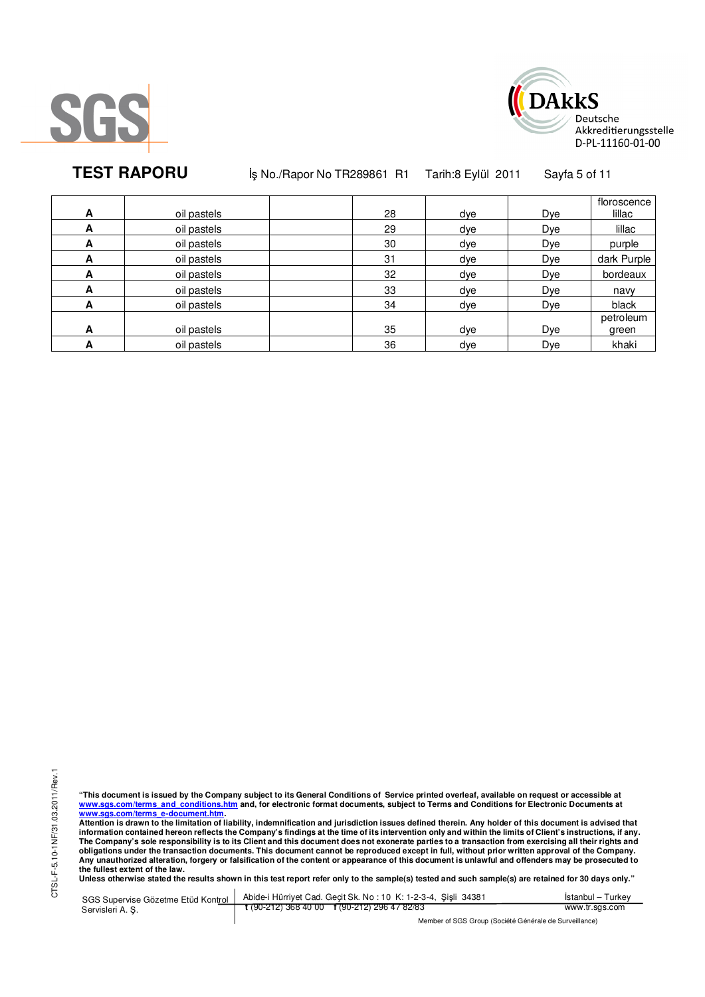



**TEST RAPORU** iş No./Rapor No TR289861 R1 Tarih:8 Eylül 2011 Sayfa 5 of 11

| A | oil pastels | 28 | dye | Dye | floroscence<br>lillac |
|---|-------------|----|-----|-----|-----------------------|
| A | oil pastels | 29 | dye | Dye | lillac                |
| A | oil pastels | 30 | dye | Dye | purple                |
| A | oil pastels | 31 | dye | Dye | dark Purple           |
| A | oil pastels | 32 | dye | Dye | bordeaux              |
| A | oil pastels | 33 | dye | Dye | navy                  |
| A | oil pastels | 34 | dye | Dye | black                 |
| A | oil pastels | 35 | dye | Dye | petroleum<br>green    |
| А | oil pastels | 36 | dye | Dye | khaki                 |

"This document is issued by the Company subject to its General Conditions of Service printed overleaf, available on request or accessible at<br>www.sgs.com/terms\_and\_conditions.htm\_and, for electronic format documents, subjec <mark>www.sgs.com/terms\_e-document.htm.</mark><br>Attention is drawn to the limitation of liability, indemnification and jurisdiction issues defined therein. Any holder of this document is advised that

information contained hereon reflects the Company's findings at the time of its intervention only and within the limits of Client's instructions, if any.<br>The Company's sole responsibility is to its Client and this document obligations under the transaction documents. This document cannot be reproduced except in full, without prior written approval of the Company.<br>Any unauthorized alteration, forgery or falsification of the content or appeara

SGS Supervise Gözetme Etüd Kontrol Servisleri A. Ş. Abide-i Hürriyet Cad. Geçit Sk. No : 10 K: 1-2-3-4, Şişli 34381 **t** (90-212) 368 40 00 **f** (90-212) 296 47 82/83 İstanbul – Turkey www.tr.sgs.com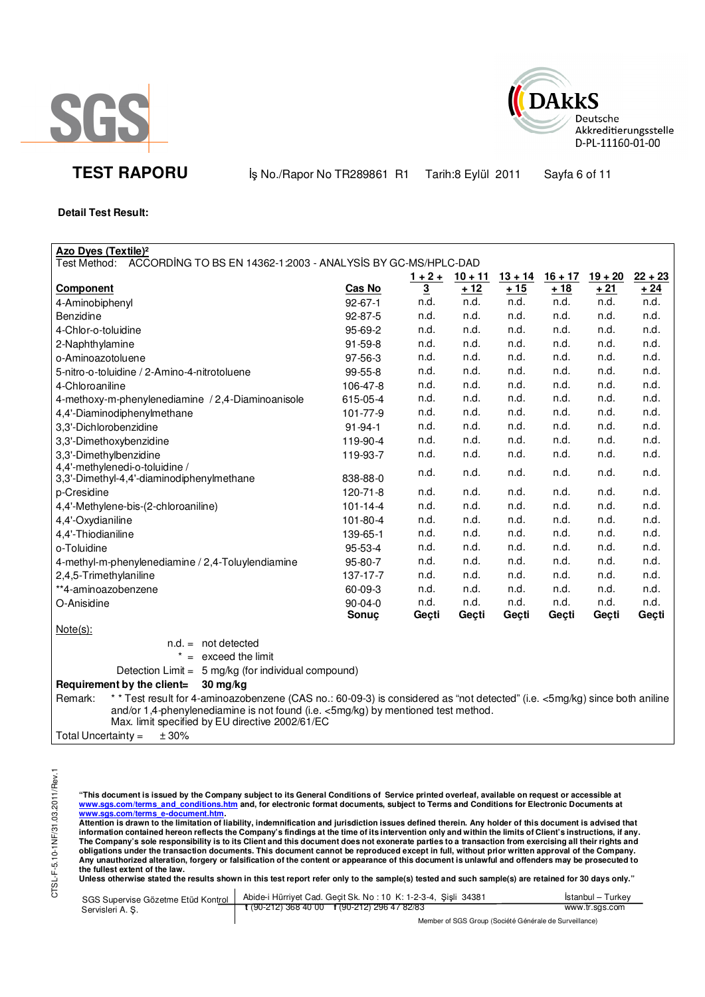



**TEST RAPORU** iş No./Rapor No TR289861 R1 Tarih:8 Eylül 2011 Sayfa 6 of 11

### **Detail Test Result:**

| <b>Azo Dyes (Textile)<sup>2</sup></b>                                                                                                 |                |                |                |           |           |           |           |
|---------------------------------------------------------------------------------------------------------------------------------------|----------------|----------------|----------------|-----------|-----------|-----------|-----------|
| Test Method:  ACCORDING TO BS EN 14362-1:2003 - ANALYSIS BY GC-MS/HPLC-DAD                                                            |                |                |                |           |           |           |           |
|                                                                                                                                       |                |                | $1+2+$ 10 + 11 | $13 + 14$ | $16 + 17$ | $19 + 20$ | $22 + 23$ |
| <b>Component</b>                                                                                                                      | Cas No         | $\overline{3}$ | ±12            | $+15$     | $+18$     | $+21$     | $+24$     |
| 4-Aminobiphenyl                                                                                                                       | $92 - 67 - 1$  | n.d.           | n.d.           | n.d.      | n.d.      | n.d.      | n.d.      |
| <b>Benzidine</b>                                                                                                                      | 92-87-5        | n.d.           | n.d.           | n.d.      | n.d.      | n.d.      | n.d.      |
| 4-Chlor-o-toluidine                                                                                                                   | 95-69-2        | n.d.           | n.d.           | n.d.      | n.d.      | n.d.      | n.d.      |
| 2-Naphthylamine                                                                                                                       | $91 - 59 - 8$  | n.d.           | n.d.           | n.d.      | n.d.      | n.d.      | n.d.      |
| o-Aminoazotoluene                                                                                                                     | 97-56-3        | n.d.           | n.d.           | n.d.      | n.d.      | n.d.      | n.d.      |
| 5-nitro-o-toluidine / 2-Amino-4-nitrotoluene                                                                                          | 99-55-8        | n.d.           | n.d.           | n.d.      | n.d.      | n.d.      | n.d.      |
| 4-Chloroaniline                                                                                                                       | 106-47-8       | n.d.           | n.d.           | n.d.      | n.d.      | n.d.      | n.d.      |
| 4-methoxy-m-phenylenediamine / 2,4-Diaminoanisole                                                                                     | 615-05-4       | n.d.           | n.d.           | n.d.      | n.d.      | n.d.      | n.d.      |
| 4,4'-Diaminodiphenylmethane                                                                                                           | 101-77-9       | n.d.           | n.d.           | n.d.      | n.d.      | n.d.      | n.d.      |
| 3,3'-Dichlorobenzidine                                                                                                                | $91 - 94 - 1$  | n.d.           | n.d.           | n.d.      | n.d.      | n.d.      | n.d.      |
| 3,3'-Dimethoxybenzidine                                                                                                               | 119-90-4       | n.d.           | n.d.           | n.d.      | n.d.      | n.d.      | n.d.      |
| 3,3'-Dimethylbenzidine                                                                                                                | 119-93-7       | n.d.           | n.d.           | n.d.      | n.d.      | n.d.      | n.d.      |
| 4,4'-methylenedi-o-toluidine /                                                                                                        |                | n.d.           | n.d.           | n.d.      | n.d.      | n.d.      | n.d.      |
| 3,3'-Dimethyl-4,4'-diaminodiphenylmethane                                                                                             | 838-88-0       |                |                |           |           |           |           |
| p-Cresidine                                                                                                                           | 120-71-8       | n.d.           | n.d.           | n.d.      | n.d.      | n.d.      | n.d.      |
| 4,4'-Methylene-bis-(2-chloroaniline)                                                                                                  | $101 - 14 - 4$ | n.d.           | n.d.           | n.d.      | n.d.      | n.d.      | n.d.      |
| 4,4'-Oxydianiline                                                                                                                     | 101-80-4       | n.d.           | n.d.           | n.d.      | n.d.      | n.d.      | n.d.      |
| 4,4'-Thiodianiline                                                                                                                    | 139-65-1       | n.d.           | n.d.           | n.d.      | n.d.      | n.d.      | n.d.      |
| o-Toluidine                                                                                                                           | 95-53-4        | n.d.           | n.d.           | n.d.      | n.d.      | n.d.      | n.d.      |
| 4-methyl-m-phenylenediamine / 2,4-Toluylendiamine                                                                                     | 95-80-7        | n.d.           | n.d.           | n.d.      | n.d.      | n.d.      | n.d.      |
| 2,4,5-Trimethylaniline                                                                                                                | 137-17-7       | n.d.           | n.d.           | n.d.      | n.d.      | n.d.      | n.d.      |
| **4-aminoazobenzene                                                                                                                   | 60-09-3        | n.d.           | n.d.           | n.d.      | n.d.      | n.d.      | n.d.      |
| O-Anisidine                                                                                                                           | 90-04-0        | n.d.           | n.d.           | n.d.      | n.d.      | n.d.      | n.d.      |
|                                                                                                                                       | Sonuc          | Geçti          | Geçti          | Geçti     | Gecti     | Geçti     | Geçti     |
| $Note(s)$ :                                                                                                                           |                |                |                |           |           |           |           |
| $n.d. = not detected$                                                                                                                 |                |                |                |           |           |           |           |
| exceed the limit<br>$=$                                                                                                               |                |                |                |           |           |           |           |
| Detection Limit = 5 mg/kg (for individual compound)                                                                                   |                |                |                |           |           |           |           |
| Requirement by the client=<br>30 mg/kg                                                                                                |                |                |                |           |           |           |           |
| * * Test result for 4-aminoazobenzene (CAS no.: 60-09-3) is considered as "not detected" (i.e. <5mg/kg) since both aniline<br>Remark: |                |                |                |           |           |           |           |
| and/or 1,4-phenylenediamine is not found (i.e. <5mg/kg) by mentioned test method.                                                     |                |                |                |           |           |           |           |

Max. limit specified by EU directive 2002/61/EC

Total Uncertainty =  $\pm 30\%$ 

"This document is issued by the Company subject to its General Conditions of Service printed overleaf, available on request or accessible at<br>www.sgs.com/terms\_and\_conditions.htm\_and, for electronic format documents, subjec

<mark>www.sgs.com/terms\_e-document.htm.</mark><br>Attention is drawn to the limitation of liability, indemnification and jurisdiction issues defined therein. Any holder of this document is advised that information contained hereon reflects the Company's findings at the time of its intervention only and within the limits of Client's instructions, if any.<br>The Company's sole responsibility is to its Client and this document **obligations under the transaction documents. This document cannot be reproduced except in full, without prior written approval of the Company. Any unauthorized alteration, forgery or falsification of the content or appearance of this document is unlawful and offenders may be prosecuted to the fullest extent of the law.** 

Unless otherwise stated the results shown in this test report refer only to the sample(s) tested and such sample(s) are retained for 30 days only."

|                  | SGS Supervise Gözetme Etüd Kontrol   Abide-i Hürriyet Cad. Geçit Sk. No: 10 K: 1-2-3-4, Sişli 34381 | <b>Istanbul</b> – Turkey |
|------------------|-----------------------------------------------------------------------------------------------------|--------------------------|
| Servisleri A. S. | $\frac{1}{2}$ (90-212) 368 40 00 f (90-212) 296 47 82/83                                            | www.tr.sgs.com           |
|                  | $111100000101110110110111$                                                                          |                          |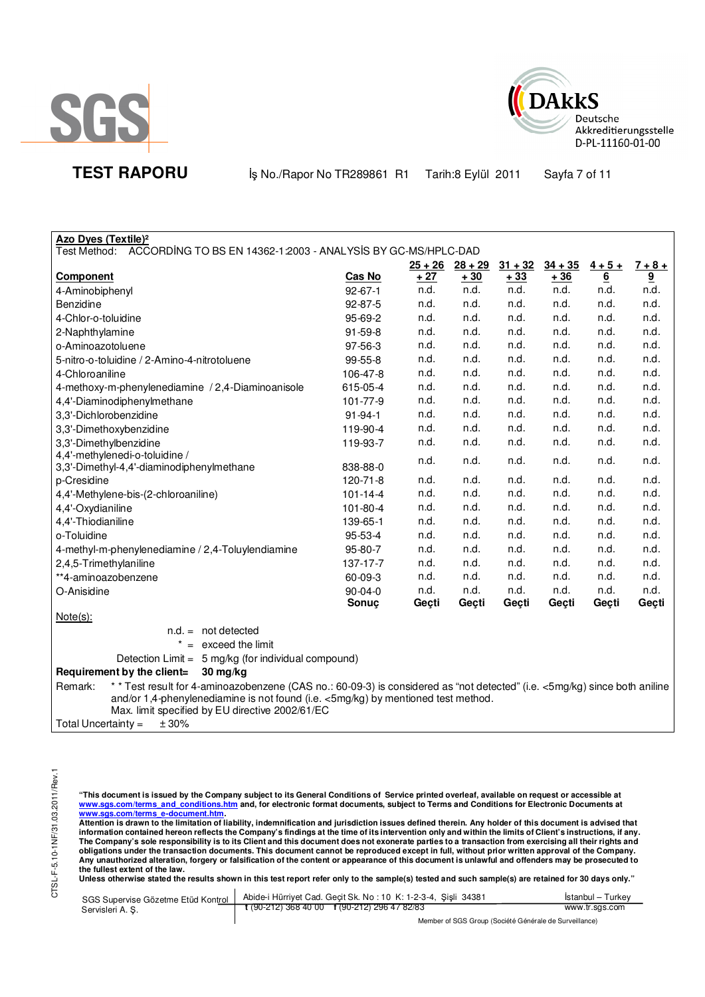



**TEST RAPORU** iş No./Rapor No TR289861 R1 Tarih:8 Eylül 2011 Sayfa 7 of 11

| Azo Dyes (Textile) <sup>2</sup>                                                                                                       |                |           |           |           |           |                  |                |
|---------------------------------------------------------------------------------------------------------------------------------------|----------------|-----------|-----------|-----------|-----------|------------------|----------------|
| Test Method:<br>ACCORDING TO BS EN 14362-1:2003 - ANALYSIS BY GC-MS/HPLC-DAD                                                          |                |           |           |           |           |                  |                |
|                                                                                                                                       |                | $25 + 26$ | $28 + 29$ | $31 + 32$ | $34 + 35$ | $\frac{4+5+}{6}$ | $7 + 8 +$      |
| Component                                                                                                                             | Cas No         | $+27$     | $+30$     | ± 33      | $+36$     | $6 \overline{6}$ | $\overline{9}$ |
| 4-Aminobiphenyl                                                                                                                       | $92 - 67 - 1$  | n.d.      | n.d.      | n.d.      | n.d.      | n.d.             | n.d.           |
| Benzidine                                                                                                                             | $92 - 87 - 5$  | n.d.      | n.d.      | n.d.      | n.d.      | n.d.             | n.d.           |
| 4-Chlor-o-toluidine                                                                                                                   | 95-69-2        | n.d.      | n.d.      | n.d.      | n.d.      | n.d.             | n.d.           |
| 2-Naphthylamine                                                                                                                       | $91 - 59 - 8$  | n.d.      | n.d.      | n.d.      | n.d.      | n.d.             | n.d.           |
| o-Aminoazotoluene                                                                                                                     | 97-56-3        | n.d.      | n.d.      | n.d.      | n.d.      | n.d.             | n.d.           |
| 5-nitro-o-toluidine / 2-Amino-4-nitrotoluene                                                                                          | 99-55-8        | n.d.      | n.d.      | n.d.      | n.d.      | n.d.             | n.d.           |
| 4-Chloroaniline                                                                                                                       | 106-47-8       | n.d.      | n.d.      | n.d.      | n.d.      | n.d.             | n.d.           |
| 4-methoxy-m-phenylenediamine / 2,4-Diaminoanisole                                                                                     | 615-05-4       | n.d.      | n.d.      | n.d.      | n.d.      | n.d.             | n.d.           |
| 4,4'-Diaminodiphenylmethane                                                                                                           | 101-77-9       | n.d.      | n.d.      | n.d.      | n.d.      | n.d.             | n.d.           |
| 3,3'-Dichlorobenzidine                                                                                                                | $91 - 94 - 1$  | n.d.      | n.d.      | n.d.      | n.d.      | n.d.             | n.d.           |
| 3,3'-Dimethoxybenzidine                                                                                                               | 119-90-4       | n.d.      | n.d.      | n.d.      | n.d.      | n.d.             | n.d.           |
| 3,3'-Dimethylbenzidine                                                                                                                | 119-93-7       | n.d.      | n.d.      | n.d.      | n.d.      | n.d.             | n.d.           |
| 4,4'-methylenedi-o-toluidine /                                                                                                        |                | n.d.      | n.d.      | n.d.      | n.d.      | n.d.             | n.d.           |
| 3,3'-Dimethyl-4,4'-diaminodiphenylmethane                                                                                             | 838-88-0       |           |           |           |           |                  |                |
| p-Cresidine                                                                                                                           | $120 - 71 - 8$ | n.d.      | n.d.      | n.d.      | n.d.      | n.d.             | n.d.           |
| 4,4'-Methylene-bis-(2-chloroaniline)                                                                                                  | $101 - 14 - 4$ | n.d.      | n.d.      | n.d.      | n.d.      | n.d.             | n.d.           |
| 4,4'-Oxydianiline                                                                                                                     | 101-80-4       | n.d.      | n.d.      | n.d.      | n.d.      | n.d.             | n.d.           |
| 4,4'-Thiodianiline                                                                                                                    | 139-65-1       | n.d.      | n.d.      | n.d.      | n.d.      | n.d.             | n.d.           |
| o-Toluidine                                                                                                                           | 95-53-4        | n.d.      | n.d.      | n.d.      | n.d.      | n.d.             | n.d.           |
| 4-methyl-m-phenylenediamine / 2,4-Toluylendiamine                                                                                     | 95-80-7        | n.d.      | n.d.      | n.d.      | n.d.      | n.d.             | n.d.           |
| 2,4,5-Trimethylaniline                                                                                                                | 137-17-7       | n.d.      | n.d.      | n.d.      | n.d.      | n.d.             | n.d.           |
| **4-aminoazobenzene                                                                                                                   | 60-09-3        | n.d.      | n.d.      | n.d.      | n.d.      | n.d.             | n.d.           |
| O-Anisidine                                                                                                                           | $90 - 04 - 0$  | n.d.      | n.d.      | n.d.      | n.d.      | n.d.             | n.d.           |
|                                                                                                                                       | Sonuç          | Geçti     | Geçti     | Geçti     | Geçti     | Geçti            | Geçti          |
| $Note(s)$ :                                                                                                                           |                |           |           |           |           |                  |                |
| $n.d. = not detected$                                                                                                                 |                |           |           |           |           |                  |                |
| $^{\star}$<br>$=$ exceed the limit                                                                                                    |                |           |           |           |           |                  |                |
| Detection Limit = 5 mg/kg (for individual compound)                                                                                   |                |           |           |           |           |                  |                |
| Requirement by the client=<br>30 mg/kg                                                                                                |                |           |           |           |           |                  |                |
| * * Test result for 4-aminoazobenzene (CAS no.: 60-09-3) is considered as "not detected" (i.e. <5mg/kg) since both aniline<br>Remark: |                |           |           |           |           |                  |                |
| and/or 1,4-phenylenediamine is not found (i.e. <5mg/kg) by mentioned test method.                                                     |                |           |           |           |           |                  |                |
| Max. limit specified by EU directive 2002/61/EC                                                                                       |                |           |           |           |           |                  |                |
| ± 30%<br>Total Uncertainty $=$                                                                                                        |                |           |           |           |           |                  |                |

"This document is issued by the Company subject to its General Conditions of Service printed overleaf, available on request or accessible at<br>www.sgs.com/terms\_and\_conditions.htm\_and, for electronic format documents, subjec

<mark>www.sgs.com/terms\_e-document.htm.</mark><br>Attention is drawn to the limitation of liability, indemnification and jurisdiction issues defined therein. Any holder of this document is advised that information contained hereon reflects the Company's findings at the time of its intervention only and within the limits of Client's instructions, if any.<br>The Company's sole responsibility is to its Client and this document obligations under the transaction documents. This document cannot be reproduced except in full, without prior written approval of the Company.<br>Any unauthorized alteration, forgery or falsification of the content or appeara

**Unless otherwise stated the results shown in this test report refer only to the sample(s) tested and such sample(s) are retained for 30 days only."** 

| SGS Supervise Gözetme Etüd Kontrol | Abide-i Hürriyet Cad. Gecit Sk. No: 10 K: 1-2-3-4, Sisli 34381 | Istanbul – Turkev |
|------------------------------------|----------------------------------------------------------------|-------------------|
| Servisleri A.S.                    | $\frac{1}{2}$ (90-212) 368 40 00 f (90-212) 296 47 82/83       | www.tr.sgs.com    |
|                                    | Mandez of COC Crains (Capital Clarimeter de Ciminallanea)      |                   |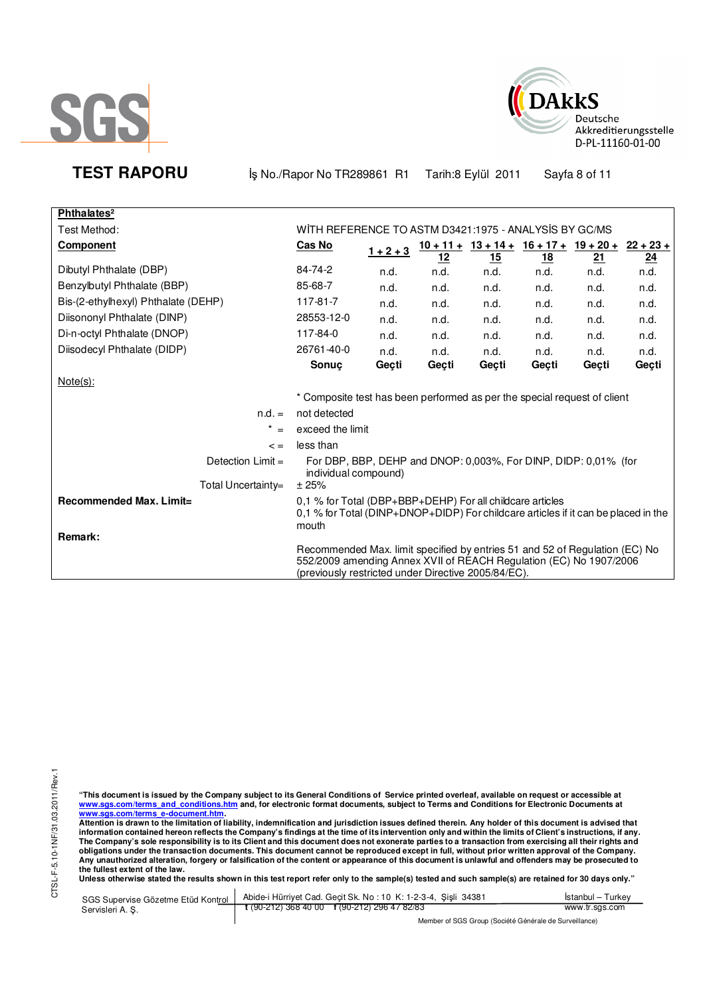



**TEST RAPORU** iş No./Rapor No TR289861 R1 Tarih:8 Eylül 2011 Sayfa 8 of 11

| Phthalates <sup>2</sup>                   |                                                                                                                                                                                                          |             |            |                                                                     |           |       |       |
|-------------------------------------------|----------------------------------------------------------------------------------------------------------------------------------------------------------------------------------------------------------|-------------|------------|---------------------------------------------------------------------|-----------|-------|-------|
| Test Method:                              | WITH REFERENCE TO ASTM D3421:1975 - ANALYSIS BY GC/MS                                                                                                                                                    |             |            |                                                                     |           |       |       |
| Component                                 | Cas No                                                                                                                                                                                                   | $1 + 2 + 3$ |            | $\frac{10+11+13+14+16+17+19+20+22+23+1}{10+11+16+17+19+20+22+23+1}$ |           |       |       |
|                                           |                                                                                                                                                                                                          |             | <u> 12</u> | <u>15</u>                                                           | <u>18</u> | 21    | 24    |
| Dibutyl Phthalate (DBP)                   | 84-74-2                                                                                                                                                                                                  | n.d.        | n.d.       | n.d.                                                                | n.d.      | n.d.  | n.d.  |
| Benzylbutyl Phthalate (BBP)               | 85-68-7                                                                                                                                                                                                  | n.d.        | n.d.       | n.d.                                                                | n.d.      | n.d.  | n.d.  |
| Bis-(2-ethylhexyl) Phthalate (DEHP)       | 117-81-7                                                                                                                                                                                                 | n.d.        | n.d.       | n.d.                                                                | n.d.      | n.d.  | n.d.  |
| Diisononyl Phthalate (DINP)               | 28553-12-0                                                                                                                                                                                               | n.d.        | n.d.       | n.d.                                                                | n.d.      | n.d.  | n.d.  |
| Di-n-octyl Phthalate (DNOP)               | 117-84-0                                                                                                                                                                                                 | n.d.        | n.d.       | n.d.                                                                | n.d.      | n.d.  | n.d.  |
| Diisodecyl Phthalate (DIDP)               | 26761-40-0                                                                                                                                                                                               | n.d.        | n.d.       | n.d.                                                                | n.d.      | n.d.  | n.d.  |
|                                           | <b>Sonuc</b>                                                                                                                                                                                             | Geçti       | Gecti      | Gecti                                                               | Gecti     | Geçti | Geçti |
| $Note(s)$ :                               |                                                                                                                                                                                                          |             |            |                                                                     |           |       |       |
|                                           | * Composite test has been performed as per the special request of client                                                                                                                                 |             |            |                                                                     |           |       |       |
| $n.d. =$                                  | not detected                                                                                                                                                                                             |             |            |                                                                     |           |       |       |
| $=$                                       | exceed the limit                                                                                                                                                                                         |             |            |                                                                     |           |       |       |
| $\lt$ =                                   | less than                                                                                                                                                                                                |             |            |                                                                     |           |       |       |
| Detection $Limit =$                       | For DBP, BBP, DEHP and DNOP: 0,003%, For DINP, DIDP: 0,01% (for<br>individual compound)                                                                                                                  |             |            |                                                                     |           |       |       |
| Total Uncertainty=                        | ±25%                                                                                                                                                                                                     |             |            |                                                                     |           |       |       |
| <b>Recommended Max. Limit=</b><br>Remark: | 0,1 % for Total (DBP+BBP+DEHP) For all childcare articles<br>0,1 % for Total (DINP+DNOP+DIDP) For childcare articles if it can be placed in the<br>mouth                                                 |             |            |                                                                     |           |       |       |
|                                           | Recommended Max. limit specified by entries 51 and 52 of Regulation (EC) No<br>552/2009 amending Annex XVII of REACH Regulation (EC) No 1907/2006<br>(previously restricted under Directive 2005/84/EC). |             |            |                                                                     |           |       |       |

"This document is issued by the Company subject to its General Conditions of Service printed overleaf, available on request or accessible at<br>www.sgs.com/terms\_and\_conditions.htm\_and, for electronic format documents, subjec

<u>www.sgs.com/terms\_e-document.htm.</u><br>Attention is drawn to the limitation of liability, indemnification and jurisdiction issues defined therein. Any holder of this document is advised that<br>information contained hereon refle obligations under the transaction documents. This document cannot be reproduced except in full, without prior written approval of the Company.<br>Any unauthorized alteration, forgery or falsification of the content or appeara

**Unless otherwise stated the results shown in this test report refer only to the sample(s) tested and such sample(s) are retained for 30 days only."** 

| SGS Supervise Gözetme Etüd Kontrol | Abide-i Hürriyet Cad. Gecit Sk. No: 10 K: 1-2-3-4, Sisli 34381 | Istanbul – Turkev                                      |  |  |
|------------------------------------|----------------------------------------------------------------|--------------------------------------------------------|--|--|
| Servisleri A.S.                    | $\frac{1}{2}$ (90-212) 368 40 00 f (90-212) 296 47 82/83       | www.tr.sgs.com                                         |  |  |
|                                    |                                                                | Member of SGS Group (Société Générale de Surveillance) |  |  |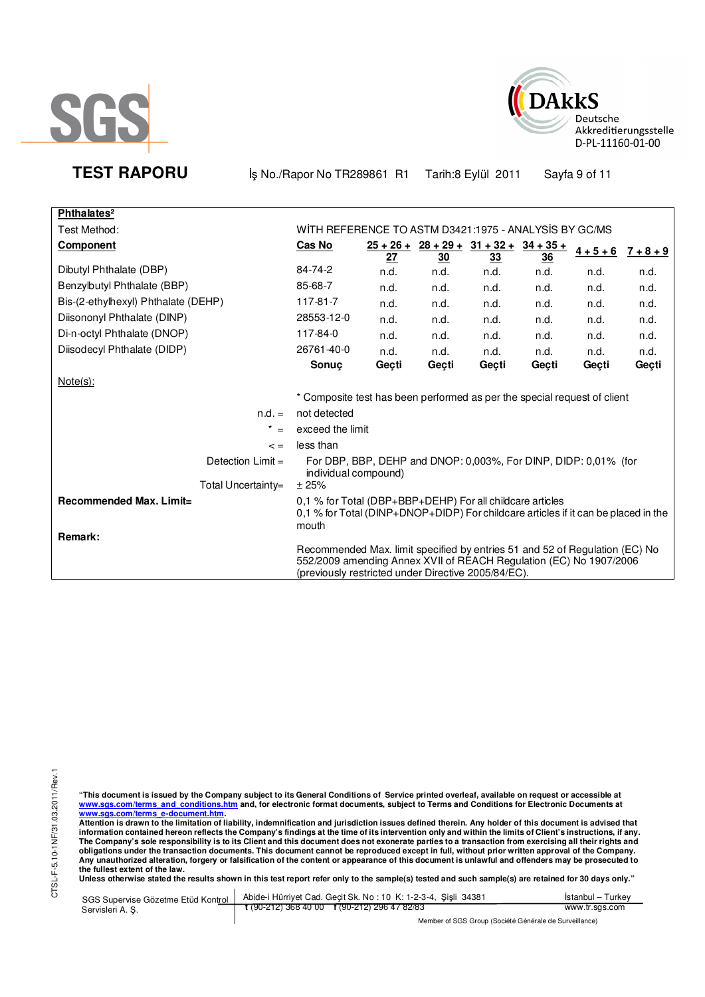



**TEST RAPORU** iş No./Rapor No TR289861 R1 Tarih:8 Eylül 2011 Sayfa 9 of 11

| Phthalates <sup>2</sup>             |                                                                                                                                                                                                          |       |                 |                                                     |                 |             |             |
|-------------------------------------|----------------------------------------------------------------------------------------------------------------------------------------------------------------------------------------------------------|-------|-----------------|-----------------------------------------------------|-----------------|-------------|-------------|
| Test Method:                        | WITH REFERENCE TO ASTM D3421:1975 - ANALYSIS BY GC/MS                                                                                                                                                    |       |                 |                                                     |                 |             |             |
| Component                           | <b>Cas No</b>                                                                                                                                                                                            | 27    | $\overline{30}$ | $\frac{25+26+}{28+29+} \cdot \frac{31+32+}{34+35+}$ | $\overline{36}$ | $4 + 5 + 6$ | $7 + 8 + 9$ |
| Dibutyl Phthalate (DBP)             | 84-74-2                                                                                                                                                                                                  | n.d.  | n.d.            | <u>33</u><br>n.d.                                   | n.d.            | n.d.        | n.d.        |
| Benzylbutyl Phthalate (BBP)         | 85-68-7                                                                                                                                                                                                  | n.d.  | n.d.            | n.d.                                                | n.d.            | n.d.        | n.d.        |
| Bis-(2-ethylhexyl) Phthalate (DEHP) | 117-81-7                                                                                                                                                                                                 | n.d.  | n.d.            | n.d.                                                | n.d.            | n.d.        | n.d.        |
| Diisononyl Phthalate (DINP)         | 28553-12-0                                                                                                                                                                                               | n.d.  | n.d.            | n.d.                                                | n.d.            | n.d.        | n.d.        |
| Di-n-octyl Phthalate (DNOP)         | 117-84-0                                                                                                                                                                                                 | n.d.  | n.d.            | n.d.                                                | n.d.            | n.d.        | n.d.        |
| Diisodecyl Phthalate (DIDP)         | 26761-40-0                                                                                                                                                                                               | n.d.  | n.d.            | n.d.                                                | n.d.            | n.d.        | n.d.        |
|                                     | Sonuc                                                                                                                                                                                                    | Geçti | Geçti           | Geçti                                               | Geçti           | Geçti       | Geçti       |
| Note(s):                            |                                                                                                                                                                                                          |       |                 |                                                     |                 |             |             |
|                                     | * Composite test has been performed as per the special request of client                                                                                                                                 |       |                 |                                                     |                 |             |             |
| $n.d. =$                            | not detected                                                                                                                                                                                             |       |                 |                                                     |                 |             |             |
| $* =$                               | exceed the limit                                                                                                                                                                                         |       |                 |                                                     |                 |             |             |
| $\lt$ =                             | less than                                                                                                                                                                                                |       |                 |                                                     |                 |             |             |
| Detection $Limit =$                 | For DBP, BBP, DEHP and DNOP: 0,003%, For DINP, DIDP: 0,01% (for<br>individual compound)                                                                                                                  |       |                 |                                                     |                 |             |             |
| Total Uncertainty=                  | ± 25%                                                                                                                                                                                                    |       |                 |                                                     |                 |             |             |
| Recommended Max. Limit=<br>Remark:  | 0,1 % for Total (DBP+BBP+DEHP) For all childcare articles<br>0,1 % for Total (DINP+DNOP+DIDP) For childcare articles if it can be placed in the<br>mouth                                                 |       |                 |                                                     |                 |             |             |
|                                     | Recommended Max. limit specified by entries 51 and 52 of Regulation (EC) No<br>552/2009 amending Annex XVII of REACH Regulation (EC) No 1907/2006<br>(previously restricted under Directive 2005/84/EC). |       |                 |                                                     |                 |             |             |

"This document is issued by the Company subject to its General Conditions of Service printed overleaf, available on request or accessible at<br>www.sgs.com/terms\_and\_conditions.htm\_and, for electronic format documents, subjec

<u>www.sgs.com/terms\_e-document.htm.</u><br>Attention is drawn to the limitation of liability, indemnification and jurisdiction issues defined therein. Any holder of this document is advised that<br>information contained hereon refle obligations under the transaction documents. This document cannot be reproduced except in full, without prior written approval of the Company.<br>Any unauthorized alteration, forgery or falsification of the content or appeara

**Unless otherwise stated the results shown in this test report refer only to the sample(s) tested and such sample(s) are retained for 30 days only."** 

|                  | SGS Supervise Gözetme Etüd Kontrol   Abide-i Hürriyet Cad. Geçit Sk. No: 10 K: 1-2-3-4, Şişli 34381                                                                                                                                   | Istanbul – Turkev |  |
|------------------|---------------------------------------------------------------------------------------------------------------------------------------------------------------------------------------------------------------------------------------|-------------------|--|
| Servisleri A. S. | $\frac{1}{2}$ (90-212) 368 40 00 f (90-212) 296 47 82/83                                                                                                                                                                              | www.tr.sgs.com    |  |
|                  | $M_{\rm BH}$ . The same contract of $\sim$ 10 and $\sim$ 10 and 10 and 10 and 10 and 10 and 10 and 10 and 10 and 10 and 10 and 10 and 10 and 10 and 10 and 10 and 10 and 10 and 10 and 10 and 10 and 10 and 10 and 10 and 10 and 10 a |                   |  |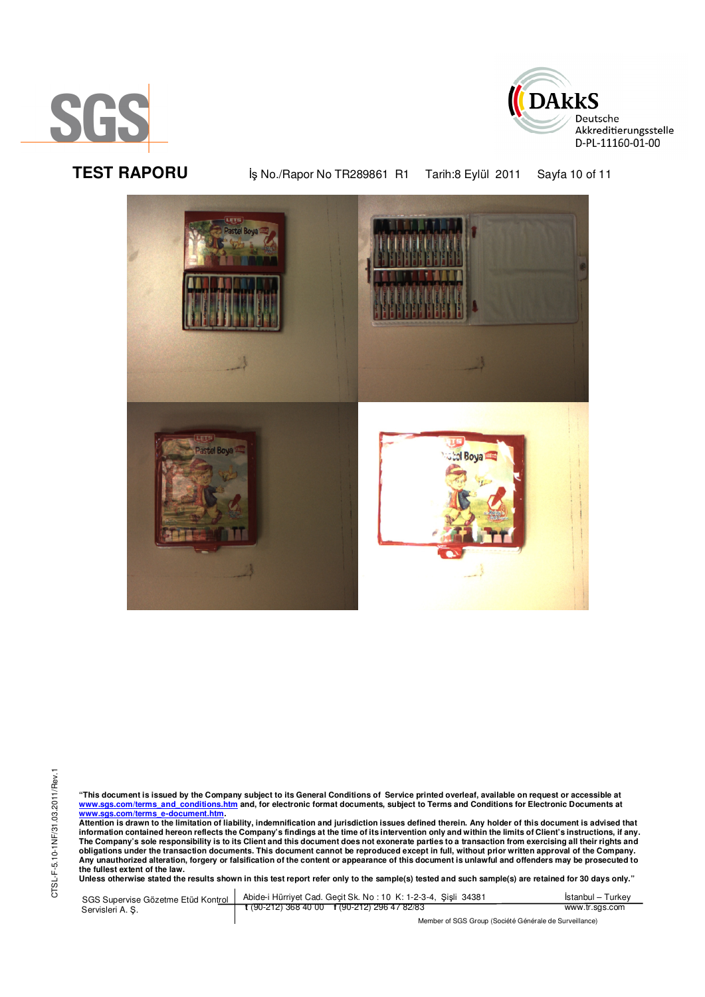



TEST RAPORU **By No./Rapor No TR289861 R1 Tarih:8 Eylül 2011** Sayfa 10 of 11



"This document is issued by the Company subject to its General Conditions of Service printed overleaf, available on request or accessible at<br>www.sgs.com/terms\_and\_conditions.htm\_and, for electronic format documents, subjec <mark>www.sgs.com/terms\_e-document.htm.</mark><br>Attention is drawn to the limitation of liability, indemnification and jurisdiction issues defined therein. Any holder of this document is advised that

information contained hereon reflects the Company's findings at the time of its intervention only and within the limits of Client's instructions, if any.<br>The Company's sole responsibility is to its Client and this document obligations under the transaction documents. This document cannot be reproduced except in full, without prior written approval of the Company.<br>Any unauthorized alteration, forgery or falsification of the content or appeara

**Unless otherwise stated the results shown in this test report refer only to the sample(s) tested and such sample(s) are retained for 30 days only."** 

SGS Supervise Gözetme Etüd Kontrol Servisleri A. Ş. Abide-i Hürriyet Cad. Geçit Sk. No : 10 K: 1-2-3-4, Şişli 34381 **t** (90-212) 368 40 00 **f** (90-212) 296 47 82/83 İstanbul – Turkey www.tr.sgs.com